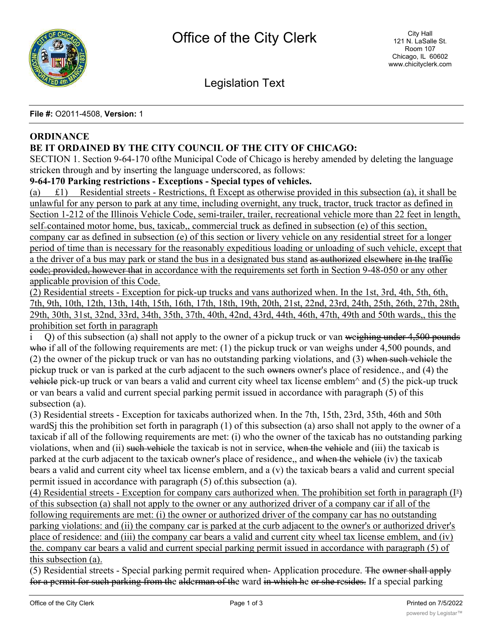

Legislation Text

**File #:** O2011-4508, **Version:** 1

# **ORDINANCE**

## **BE IT ORDAINED BY THE CITY COUNCIL OF THE CITY OF CHICAGO:**

SECTION 1. Section 9-64-170 ofthe Municipal Code of Chicago is hereby amended by deleting the language stricken through and by inserting the language underscored, as follows:

**9-64-170 Parking restrictions - Exceptions - Special types of vehicles.**

(a) £1) Residential streets - Restrictions, ft Except as otherwise provided in this subsection (a), it shall be unlawful for any person to park at any time, including overnight, any truck, tractor, truck tractor as defined in Section 1-212 of the Illinois Vehicle Code, semi-trailer, trailer, recreational vehicle more than 22 feet in length, self=contained motor home, bus, taxicab,, commercial truck as defined in subsection (e) of this section, company car as defined in subsection (e) of this section or livery vehicle on any residential street for a longer period of time than is necessary for the reasonably expeditious loading or unloading of such vehicle, except that a the driver of a bus may park or stand the bus in a designated bus stand as authorized elsewhere in the traffic code; provided, however that in accordance with the requirements set forth in Section 9-48-050 or any other applicable provision of this Code.

(2) Residential streets - Exception for pick-up trucks and vans authorized when. In the 1st, 3rd, 4th, 5th, 6th, 7th, 9th, 10th, 12th, 13th, 14th, 15th, 16th, 17th, 18th, 19th, 20th, 21st, 22nd, 23rd, 24th, 25th, 26th, 27th, 28th, 29th, 30th, 31st, 32nd, 33rd, 34th, 35th, 37th, 40th, 42nd, 43rd, 44th, 46th, 47th, 49th and 50th wards,, this the prohibition set forth in paragraph

 $i$  Q) of this subsection (a) shall not apply to the owner of a pickup truck or van weighing under 4,500 pounds who if all of the following requirements are met:  $(1)$  the pickup truck or van weighs under 4,500 pounds, and (2) the owner of the pickup truck or van has no outstanding parking violations, and (3) when such vehicle the pickup truck or van is parked at the curb adjacent to the such owners owner's place of residence., and (4) the vehicle pick-up truck or van bears a valid and current city wheel tax license emblem $\land$  and (5) the pick-up truck or van bears a valid and current special parking permit issued in accordance with paragraph (5) of this subsection (a).

(3) Residential streets - Exception for taxicabs authorized when. In the 7th, 15th, 23rd, 35th, 46th and 50th wardSj this the prohibition set forth in paragraph (1) of this subsection (a) arso shall not apply to the owner of a taxicab if all of the following requirements are met: (i) who the owner of the taxicab has no outstanding parking violations, when and (ii) such vehicle the taxicab is not in service, when the vehicle and (iii) the taxicab is parked at the curb adjacent to the taxicab owner's place of residence,, and when the vehicle (iv) the taxicab bears a valid and current city wheel tax license emblern, and a (v) the taxicab bears a valid and current special permit issued in accordance with paragraph (5) of.this subsection (a).

(4) Residential streets - Exception for company cars authorized when. The prohibition set forth in paragraph  $(I^s)$ of this subsection (a) shall not apply to the owner or any authorized driver of a company car if all of the following requirements are met: (i) the owner or authorized driver of the company car has no outstanding parking violations: and (ii) the company car is parked at the curb adjacent to the owner's or authorized driver's place of residence: and (iii) the company car bears a valid and current city wheel tax license emblem, and (iv) the. company car bears a valid and current special parking permit issued in accordance with paragraph (5) of this subsection (a).

(5) Residential streets - Special parking permit required when- Application procedure. The owner shall apply for a permit for such parking from the alderman of the ward in which he or she resides. If a special parking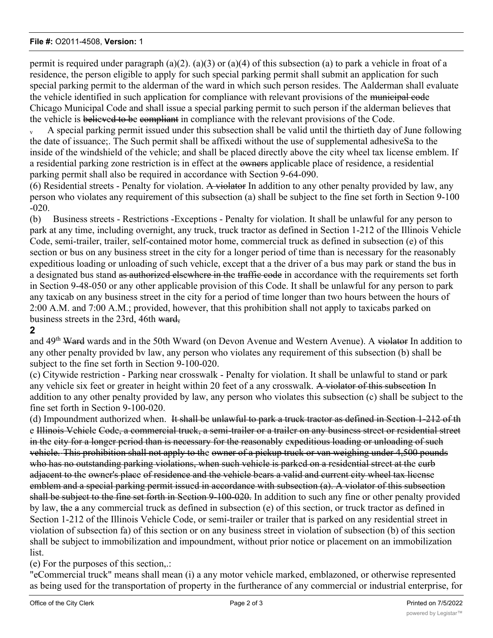#### **File #:** O2011-4508, **Version:** 1

permit is required under paragraph (a)(2). (a)(3) or (a)(4) of this subsection (a) to park a vehicle in froat of a residence, the person eligible to apply for such special parking permit shall submit an application for such special parking permit to the alderman of the ward in which such person resides. The Aalderman shall evaluate the vehicle identified in such application for compliance with relevant provisions of the municipal code Chicago Municipal Code and shall issue a special parking permit to such person if the alderman believes that the vehicle is believed to be compliant in compliance with the relevant provisions of the Code.

A special parking permit issued under this subsection shall be valid until the thirtieth day of June following the date of issuance;. The Such permit shall be affixedi without the use of supplemental adhesiveSa to the inside of the windshield of the vehicle; and shall be placed directly above the city wheel tax license emblem. If a residential parking zone restriction is in effect at the owners applicable place of residence, a residential parking permit shall also be required in accordance with Section 9-64-090.

(6) Residential streets - Penalty for violation. A violator In addition to any other penalty provided by law, any person who violates any requirement of this subsection (a) shall be subject to the fine set forth in Section 9-100 -020.

(b) Business streets - Restrictions -Exceptions - Penalty for violation. It shall be unlawful for any person to park at any time, including overnight, any truck, truck tractor as defined in Section 1-212 of the Illinois Vehicle Code, semi-trailer, trailer, self-contained motor home, commercial truck as defined in subsection (e) of this section or bus on any business street in the city for a longer period of time than is necessary for the reasonably expeditious loading or unloading of such vehicle, except that a the driver of a bus may park or stand the bus in a designated bus stand as authorized elsewhere in the traffic code in accordance with the requirements set forth in Section 9-48-050 or any other applicable provision of this Code. It shall be unlawful for any person to park any taxicab on any business street in the city for a period of time longer than two hours between the hours of 2:00 A.M. and 7:00 A.M.; provided, however, that this prohibition shall not apply to taxicabs parked on business streets in the 23rd, 46th ward,

## **2**

and 49<sup>th</sup> Ward wards and in the 50th Wward (on Devon Avenue and Western Avenue). A violator In addition to any other penalty provided bv law, any person who violates any requirement of this subsection (b) shall be subject to the fine set forth in Section 9-100-020.

(c) Citywide restriction - Parking near crosswalk - Penalty for violation. It shall be unlawful to stand or park any vehicle six feet or greater in height within 20 feet of a any crosswalk. A violator of this subsection In addition to any other penalty provided by law, any person who violates this subsection (c) shall be subject to the fine set forth in Section 9-100-020.

(d) Impoundment authorized when. It shall be unlawful to park a truck tractor as defined in Section 1-212 of th e Illinois Vehicle Code, a commercial truck, a semi-trailer or a trailer on any business street or residential street in the city for a longer period than is necessary for the reasonably expeditious loading or unloading of such vehicle.-This prohibition shall not apply to the owner of a pickup truck or van weighing under 4,500 pounds who has no outstanding parking violations, when such vehicle is parked on a residential street at the curb adjacent to the owner's place of residence and the vehicle bears a valid and current city wheel tax license emblem and a special parking permit issued in accordance with subsection (a). A violator of this subsection shall be subject to the fine set forth in Section 9-100-020. In addition to such any fine or other penalty provided by law, the a any commercial truck as defined in subsection (e) of this section, or truck tractor as defined in Section 1-212 of the Illinois Vehicle Code, or semi-trailer or trailer that is parked on any residential street in violation of subsection fa) of this section or on any business street in violation of subsection (b) of this section shall be subject to immobilization and impoundment, without prior notice or placement on an immobilization list.

(e) For the purposes of this section,.:

"eCommercial truck" means shall mean (i) a any motor vehicle marked, emblazoned, or otherwise represented as being used for the transportation of property in the furtherance of any commercial or industrial enterprise, for